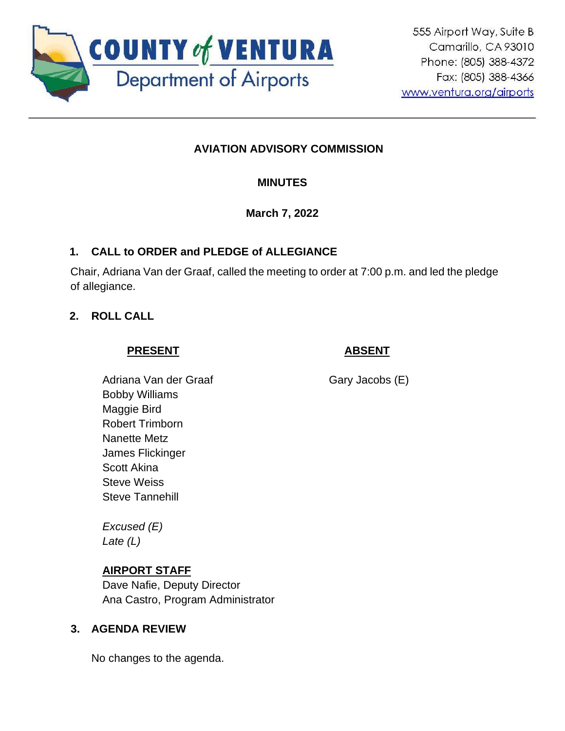

# **AVIATION ADVISORY COMMISSION**

# **MINUTES**

# **March 7, 2022**

# **1. CALL to ORDER and PLEDGE of ALLEGIANCE**

Chair, Adriana Van der Graaf, called the meeting to order at 7:00 p.m. and led the pledge of allegiance.

# **2. ROLL CALL**

# **PRESENT**

# **ABSENT**

Adriana Van der Graaf Bobby Williams Maggie Bird Robert Trimborn Nanette Metz James Flickinger Scott Akina Steve Weiss Steve Tannehill

*Excused (E) Late (L)*

# **AIRPORT STAFF**

Dave Nafie, Deputy Director Ana Castro, Program Administrator

### **3. AGENDA REVIEW**

No changes to the agenda.

Gary Jacobs (E)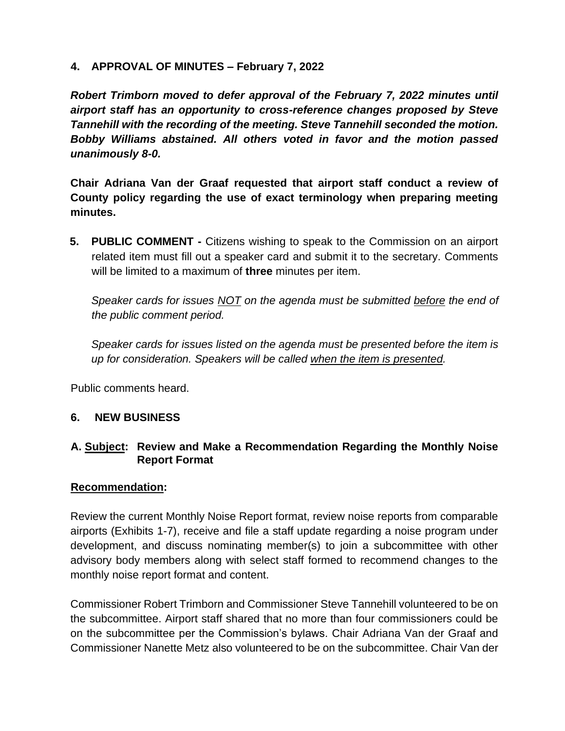### **4. APPROVAL OF MINUTES – February 7, 2022**

*Robert Trimborn moved to defer approval of the February 7, 2022 minutes until airport staff has an opportunity to cross-reference changes proposed by Steve Tannehill with the recording of the meeting. Steve Tannehill seconded the motion. Bobby Williams abstained. All others voted in favor and the motion passed unanimously 8-0.*

**Chair Adriana Van der Graaf requested that airport staff conduct a review of County policy regarding the use of exact terminology when preparing meeting minutes.** 

**5. PUBLIC COMMENT -** Citizens wishing to speak to the Commission on an airport related item must fill out a speaker card and submit it to the secretary. Comments will be limited to a maximum of **three** minutes per item.

*Speaker cards for issues NOT on the agenda must be submitted before the end of the public comment period.* 

*Speaker cards for issues listed on the agenda must be presented before the item is up for consideration. Speakers will be called when the item is presented.*

Public comments heard.

#### **6. NEW BUSINESS**

### **A. Subject: Review and Make a Recommendation Regarding the Monthly Noise Report Format**

#### **Recommendation:**

Review the current Monthly Noise Report format, review noise reports from comparable airports (Exhibits 1-7), receive and file a staff update regarding a noise program under development, and discuss nominating member(s) to join a subcommittee with other advisory body members along with select staff formed to recommend changes to the monthly noise report format and content.

Commissioner Robert Trimborn and Commissioner Steve Tannehill volunteered to be on the subcommittee. Airport staff shared that no more than four commissioners could be on the subcommittee per the Commission's bylaws. Chair Adriana Van der Graaf and Commissioner Nanette Metz also volunteered to be on the subcommittee. Chair Van der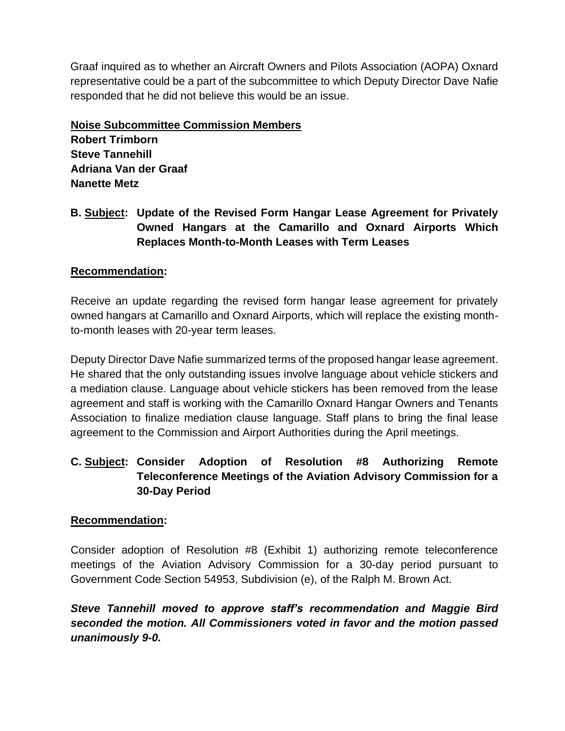Graaf inquired as to whether an Aircraft Owners and Pilots Association (AOPA) Oxnard representative could be a part of the subcommittee to which Deputy Director Dave Nafie responded that he did not believe this would be an issue.

**Noise Subcommittee Commission Members Robert Trimborn Steve Tannehill Adriana Van der Graaf Nanette Metz**

**B. Subject: Update of the Revised Form Hangar Lease Agreement for Privately Owned Hangars at the Camarillo and Oxnard Airports Which Replaces Month-to-Month Leases with Term Leases**

### **Recommendation:**

Receive an update regarding the revised form hangar lease agreement for privately owned hangars at Camarillo and Oxnard Airports, which will replace the existing monthto-month leases with 20-year term leases.

Deputy Director Dave Nafie summarized terms of the proposed hangar lease agreement. He shared that the only outstanding issues involve language about vehicle stickers and a mediation clause. Language about vehicle stickers has been removed from the lease agreement and staff is working with the Camarillo Oxnard Hangar Owners and Tenants Association to finalize mediation clause language. Staff plans to bring the final lease agreement to the Commission and Airport Authorities during the April meetings.

# **C. Subject: Consider Adoption of Resolution #8 Authorizing Remote Teleconference Meetings of the Aviation Advisory Commission for a 30-Day Period**

### **Recommendation:**

Consider adoption of Resolution #8 (Exhibit 1) authorizing remote teleconference meetings of the Aviation Advisory Commission for a 30-day period pursuant to Government Code Section 54953, Subdivision (e), of the Ralph M. Brown Act.

*Steve Tannehill moved to approve staff's recommendation and Maggie Bird seconded the motion. All Commissioners voted in favor and the motion passed unanimously 9-0.*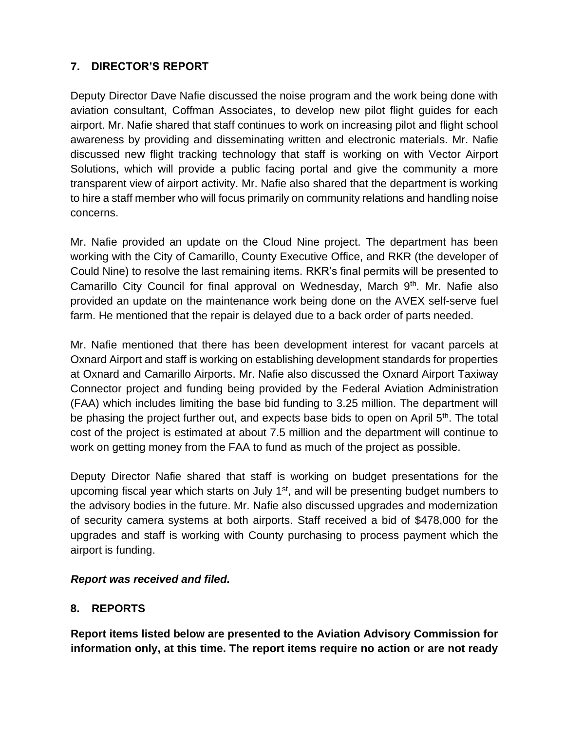# **7. DIRECTOR'S REPORT**

Deputy Director Dave Nafie discussed the noise program and the work being done with aviation consultant, Coffman Associates, to develop new pilot flight guides for each airport. Mr. Nafie shared that staff continues to work on increasing pilot and flight school awareness by providing and disseminating written and electronic materials. Mr. Nafie discussed new flight tracking technology that staff is working on with Vector Airport Solutions, which will provide a public facing portal and give the community a more transparent view of airport activity. Mr. Nafie also shared that the department is working to hire a staff member who will focus primarily on community relations and handling noise concerns.

Mr. Nafie provided an update on the Cloud Nine project. The department has been working with the City of Camarillo, County Executive Office, and RKR (the developer of Could Nine) to resolve the last remaining items. RKR's final permits will be presented to Camarillo City Council for final approval on Wednesday, March 9<sup>th</sup>. Mr. Nafie also provided an update on the maintenance work being done on the AVEX self-serve fuel farm. He mentioned that the repair is delayed due to a back order of parts needed.

Mr. Nafie mentioned that there has been development interest for vacant parcels at Oxnard Airport and staff is working on establishing development standards for properties at Oxnard and Camarillo Airports. Mr. Nafie also discussed the Oxnard Airport Taxiway Connector project and funding being provided by the Federal Aviation Administration (FAA) which includes limiting the base bid funding to 3.25 million. The department will be phasing the project further out, and expects base bids to open on April 5<sup>th</sup>. The total cost of the project is estimated at about 7.5 million and the department will continue to work on getting money from the FAA to fund as much of the project as possible.

Deputy Director Nafie shared that staff is working on budget presentations for the upcoming fiscal year which starts on July 1<sup>st</sup>, and will be presenting budget numbers to the advisory bodies in the future. Mr. Nafie also discussed upgrades and modernization of security camera systems at both airports. Staff received a bid of \$478,000 for the upgrades and staff is working with County purchasing to process payment which the airport is funding.

### *Report was received and filed.*

### **8. REPORTS**

**Report items listed below are presented to the Aviation Advisory Commission for information only, at this time. The report items require no action or are not ready**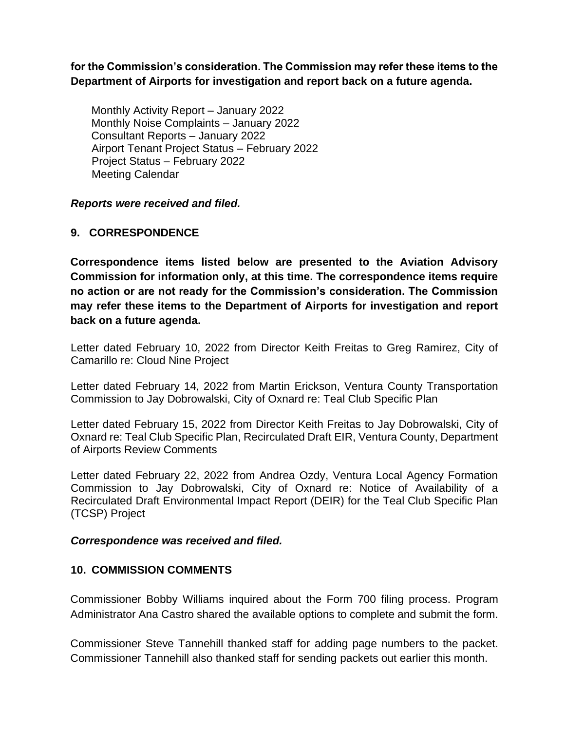**for the Commission's consideration. The Commission may refer these items to the Department of Airports for investigation and report back on a future agenda.** 

Monthly Activity Report – January 2022 Monthly Noise Complaints – January 2022 Consultant Reports – January 2022 Airport Tenant Project Status – February 2022 Project Status – February 2022 Meeting Calendar

#### *Reports were received and filed.*

#### **9. CORRESPONDENCE**

**Correspondence items listed below are presented to the Aviation Advisory Commission for information only, at this time. The correspondence items require no action or are not ready for the Commission's consideration. The Commission may refer these items to the Department of Airports for investigation and report back on a future agenda.** 

Letter dated February 10, 2022 from Director Keith Freitas to Greg Ramirez, City of Camarillo re: Cloud Nine Project

Letter dated February 14, 2022 from Martin Erickson, Ventura County Transportation Commission to Jay Dobrowalski, City of Oxnard re: Teal Club Specific Plan

Letter dated February 15, 2022 from Director Keith Freitas to Jay Dobrowalski, City of Oxnard re: Teal Club Specific Plan, Recirculated Draft EIR, Ventura County, Department of Airports Review Comments

Letter dated February 22, 2022 from Andrea Ozdy, Ventura Local Agency Formation Commission to Jay Dobrowalski, City of Oxnard re: Notice of Availability of a Recirculated Draft Environmental Impact Report (DEIR) for the Teal Club Specific Plan (TCSP) Project

#### *Correspondence was received and filed.*

#### **10. COMMISSION COMMENTS**

Commissioner Bobby Williams inquired about the Form 700 filing process. Program Administrator Ana Castro shared the available options to complete and submit the form.

Commissioner Steve Tannehill thanked staff for adding page numbers to the packet. Commissioner Tannehill also thanked staff for sending packets out earlier this month.